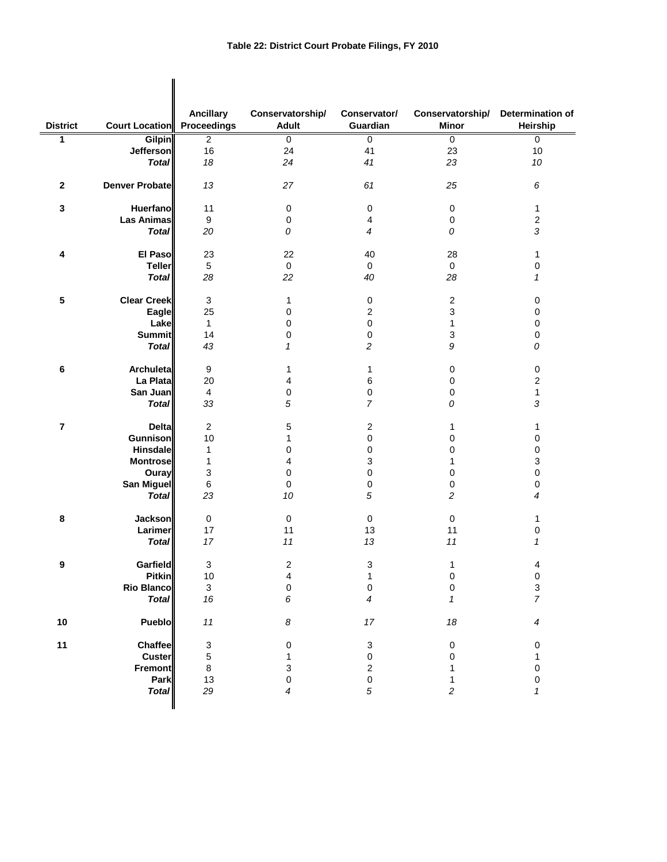|                 |                                   | <b>Ancillary</b>          | Conservatorship/        | Conservator/     | Conservatorship/ | Determination of          |
|-----------------|-----------------------------------|---------------------------|-------------------------|------------------|------------------|---------------------------|
| <b>District</b> | <b>Court Location</b> Proceedings |                           | <b>Adult</b>            | Guardian         | <b>Minor</b>     | Heirship                  |
| 1               | <b>Gilpin</b>                     | $\overline{2}$            | $\pmb{0}$               | 0                | $\overline{0}$   | $\overline{0}$            |
|                 | <b>Jefferson</b>                  | 16                        | 24                      | 41               | 23               | 10                        |
|                 | <b>Total</b>                      | 18                        | 24                      | 41               | 23               | $10\,$                    |
| $\mathbf{2}$    | <b>Denver Probate</b>             | 13                        | 27                      | 61               | 25               | 6                         |
| 3               | Huerfano                          | 11                        | $\pmb{0}$               | 0                | $\pmb{0}$        | 1                         |
|                 | <b>Las Animas</b>                 | 9                         | $\pmb{0}$               | 4                | $\pmb{0}$        | $\boldsymbol{2}$          |
|                 | <b>Total</b>                      | 20                        | 0                       | $\overline{4}$   | 0                | $\sqrt{3}$                |
| 4               | El Paso                           | 23                        | 22                      | 40               | 28               | $\mathbf 1$               |
|                 | <b>Teller</b>                     | 5                         | $\mathbf 0$             | 0                | 0                | $\pmb{0}$                 |
|                 | <b>Total</b>                      | 28                        | 22                      | 40               | 28               | 1                         |
|                 |                                   |                           |                         |                  |                  |                           |
| 5               | <b>Clear Creek</b>                | 3                         | 1                       | 0                | $\boldsymbol{2}$ | 0                         |
|                 | Eagle                             | 25                        | 0                       | $\sqrt{2}$       | 3                | $\mathbf 0$               |
|                 | Lake                              | 1                         | 0                       | 0                | 1                | $\mathbf 0$               |
|                 | <b>Summit</b>                     | 14                        | 0                       | 0                | 3                | 0                         |
|                 | <b>Total</b>                      | 43                        | 1                       | 2                | 9                | 0                         |
| $\bf 6$         | Archuleta                         | $\boldsymbol{9}$          | 1                       | 1                | 0                | $\pmb{0}$                 |
|                 | La Plata                          | 20                        | 4                       | 6                | $\pmb{0}$        | $\boldsymbol{2}$          |
|                 | San Juan                          | 4                         | 0                       | 0                | 0                | $\mathbf{1}$              |
|                 | <b>Total</b>                      | 33                        | 5                       | $\overline{7}$   | 0                | 3                         |
| $\overline{7}$  | <b>Delta</b>                      | $\boldsymbol{2}$          | 5                       | $\boldsymbol{2}$ | 1                | 1                         |
|                 | <b>Gunnison</b>                   | 10                        | 1                       | 0                | 0                | 0                         |
|                 | <b>Hinsdale</b>                   | 1                         | 0                       | 0                | 0                | $\pmb{0}$                 |
|                 | <b>Montrose</b>                   | 1                         | 4                       | 3                | 1                | 3                         |
|                 | Ouray                             | 3                         | 0                       | 0                | 0                | $\pmb{0}$                 |
|                 | <b>San Miguel</b>                 | 6                         | 0                       | 0                | 0                | $\pmb{0}$                 |
|                 | <b>Total</b>                      | 23                        | 10                      | 5                | 2                | $\overline{4}$            |
|                 |                                   |                           |                         |                  |                  |                           |
| 8               | <b>Jackson</b>                    | $\mathbf 0$               | $\pmb{0}$               | $\mathbf 0$      | 0                | 1                         |
|                 | Larimer                           | 17                        | 11                      | 13               | 11               | 0                         |
|                 | <b>Total</b>                      | 17                        | 11                      | 13               | 11               | 1                         |
| 9               | Garfield                          | $\ensuremath{\mathsf{3}}$ | 2                       | 3                | 1                | 4                         |
|                 | Pitkin                            | $10$                      | $\overline{\mathbf{4}}$ | 1                | 0                | $\pmb{0}$                 |
|                 | <b>Rio Blanco</b>                 | $\mathsf 3$               | 0                       | 0                | $\mathsf 0$      | $\ensuremath{\mathsf{3}}$ |
|                 | <b>Total</b>                      | 16                        | 6                       | 4                | $\mathcal I$     | $\overline{7}$            |
|                 |                                   |                           |                         |                  |                  |                           |
| $10$            | Pueblo                            | $11$                      | $\boldsymbol{8}$        | $17$             | 18               | 4                         |
| 11              | Chaffee                           | 3                         | 0                       | 3                | 0                | 0                         |
|                 | <b>Custer</b>                     | 5                         | 1                       | $\pmb{0}$        | 0                | 1                         |
|                 | Fremont                           | 8                         | 3                       | $\boldsymbol{2}$ | 1                | $\pmb{0}$                 |
|                 | Park                              | 13                        | 0                       | 0                | 1                | $\pmb{0}$                 |
|                 | <b>Total</b>                      | 29                        | 4                       | 5                | 2                | $\mathbf{1}$              |
|                 |                                   |                           |                         |                  |                  |                           |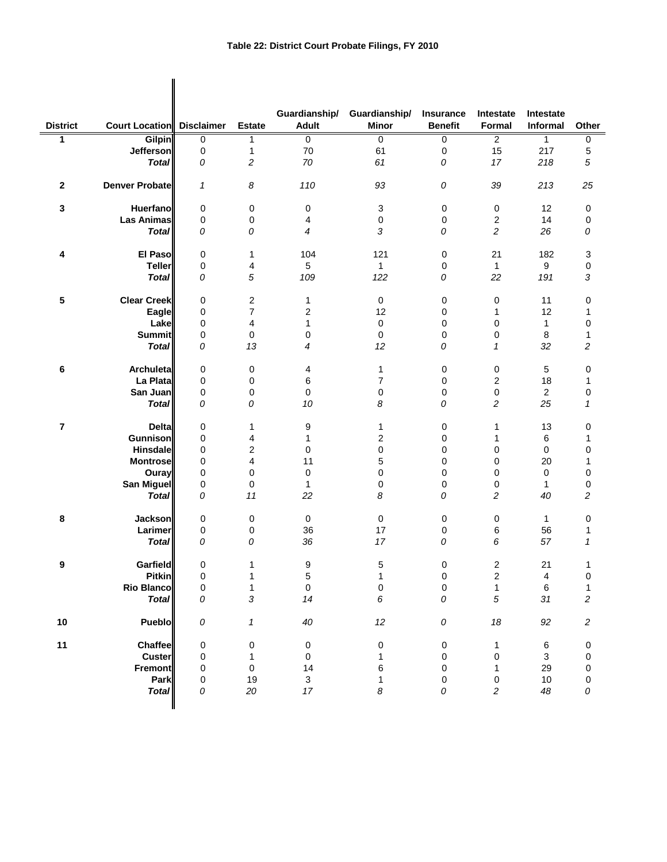$\mathbf{I}$ 

|                 |                                  |             |                         | Guardianship/             | Guardianship/ | Insurance      | Intestate               | Intestate      |                         |
|-----------------|----------------------------------|-------------|-------------------------|---------------------------|---------------|----------------|-------------------------|----------------|-------------------------|
| <b>District</b> | <b>Court Location</b> Disclaimer |             | <b>Estate</b>           | <b>Adult</b>              | <b>Minor</b>  | <b>Benefit</b> | Formal                  | Informal       | Other                   |
| 1               | <b>Gilpin</b>                    | 0           | 1                       | $\mathbf 0$               | $\mathbf 0$   | 0              | $\overline{2}$          | 1              | 0                       |
|                 | Jefferson                        | 0           | $\mathbf{1}$            | 70                        | 61            | 0              | 15                      | 217            | 5                       |
|                 | <b>Total</b>                     | 0           | 2                       | 70                        | 61            | 0              | 17                      | 218            | 5                       |
| $\mathbf{2}$    | Denver Probate                   | 1           | 8                       | 110                       | 93            | 0              | 39                      | 213            | 25                      |
| 3               | <b>Huerfano</b>                  | 0           | 0                       | 0                         | 3             | 0              | 0                       | 12             | 0                       |
|                 | <b>Las Animas</b>                | 0           | 0                       | 4                         | $\pmb{0}$     | 0              | $\overline{\mathbf{c}}$ | 14             | 0                       |
|                 | <b>Total</b>                     | 0           | 0                       | 4                         | 3             | 0              | $\overline{c}$          | 26             | 0                       |
| 4               | <b>El Paso</b>                   | 0           | 1                       | 104                       | 121           | 0              | 21                      | 182            | 3                       |
|                 | <b>Teller</b>                    | 0           | 4                       | 5                         | $\mathbf{1}$  | 0              | $\mathbf{1}$            | 9              | 0                       |
|                 | <b>Total</b>                     | 0           | 5                       | 109                       | 122           | 0              | 22                      | 191            | 3                       |
| 5               | <b>Clear Creek</b>               | 0           | 2                       | 1                         | 0             | 0              | 0                       | 11             | 0                       |
|                 | Eagle                            | 0           | 7                       | 2                         | 12            | 0              | 1                       | 12             | 1                       |
|                 | Lake                             | 0           | 4                       | 1                         | $\pmb{0}$     | 0              | 0                       | 1              | 0                       |
|                 | <b>Summit</b>                    | 0           | 0                       | 0                         | $\pmb{0}$     | 0              | 0                       | $\,8\,$        | 1                       |
|                 | <b>Total</b>                     | 0           | 13                      | 4                         | 12            | 0              | 1                       | 32             | 2                       |
| 6               | Archuleta                        | 0           | 0                       | 4                         | 1             | 0              | 0                       | 5              | 0                       |
|                 | La Plata                         | $\mathbf 0$ | 0                       | 6                         | 7             | 0              | $\overline{c}$          | 18             | 1                       |
|                 | San Juan                         | 0           | 0                       | 0                         | 0             | 0              | 0                       | $\overline{c}$ | 0                       |
|                 | <b>Total</b>                     | 0           | 0                       | 10                        | 8             | 0              | $\overline{\mathbf{c}}$ | 25             | 1                       |
| $\overline{7}$  | <b>Delta</b>                     | 0           | 1                       | 9                         | 1             | 0              | 1                       | 13             | 0                       |
|                 | Gunnison                         | 0           | 4                       | 1                         | 2             | 0              | 1                       | 6              | 1                       |
|                 | <b>Hinsdale</b>                  | $\mathbf 0$ | $\overline{\mathbf{c}}$ | 0                         | $\pmb{0}$     | 0              | 0                       | 0              | 0                       |
|                 | <b>Montrose</b>                  | 0           | 4                       | 11                        | 5             | 0              | 0                       | 20             | 1                       |
|                 | Ouray                            | $\mathbf 0$ | 0                       | $\mathbf 0$               | $\mathbf 0$   | 0              | 0                       | 0              | 0                       |
|                 | San Miguel                       | 0           | 0                       | 1                         | 0             | 0              | 0                       | 1              | 0                       |
|                 | <b>Total</b>                     | 0           | 11                      | 22                        | 8             | 0              | 2                       | 40             | 2                       |
| 8               | <b>Jackson</b>                   | 0           | 0                       | $\mathsf{O}\xspace$       | $\mathbf 0$   | 0              | 0                       | 1              | 0                       |
|                 | Larimer                          | 0           | 0                       | 36                        | 17            | 0              | 6                       | 56             | 1                       |
|                 | <b>Total</b>                     | 0           | 0                       | 36                        | 17            | 0              | 6                       | 57             | 1                       |
| 9               | Garfield                         | 0           | 1                       | 9                         | 5             | 0              | 2                       | 21             | 1                       |
|                 | <b>Pitkin</b>                    | 0           |                         | 5                         | 1             | 0              | 2                       | 4              | 0                       |
|                 | Rio Blanco                       | 0           | 1                       | $\pmb{0}$                 | 0             | $\pmb{0}$      | 1                       | $\,6\,$        | 1                       |
|                 | <b>Total</b>                     | 0           | 3                       | 14                        | 6             | ${\cal O}$     | $\sqrt{5}$              | 31             | $\overline{\mathbf{c}}$ |
| $10$            | <b>Pueblo</b>                    | 0           | 1                       | 40                        | 12            | ${\cal O}$     | $18$                    | 92             | $\sqrt{2}$              |
| 11              | <b>Chaffee</b>                   | 0           | 0                       | $\pmb{0}$                 | 0             | $\pmb{0}$      | 1                       | 6              | 0                       |
|                 | <b>Custer</b>                    | 0           | $\mathbf{1}$            | $\mathsf 0$               | 1             | 0              | 0                       | 3              | 0                       |
|                 | <b>Fremont</b>                   | 0           | 0                       | 14                        | 6             | 0              | 1                       | 29             | 0                       |
|                 | Park                             | 0           | 19                      | $\ensuremath{\mathsf{3}}$ | 1             | 0              | 0                       | $10$           | 0                       |
|                 | <b>Total</b>                     | 0           | 20                      | $17\,$                    | 8             | 0              | $\overline{c}$          | 48             | 0                       |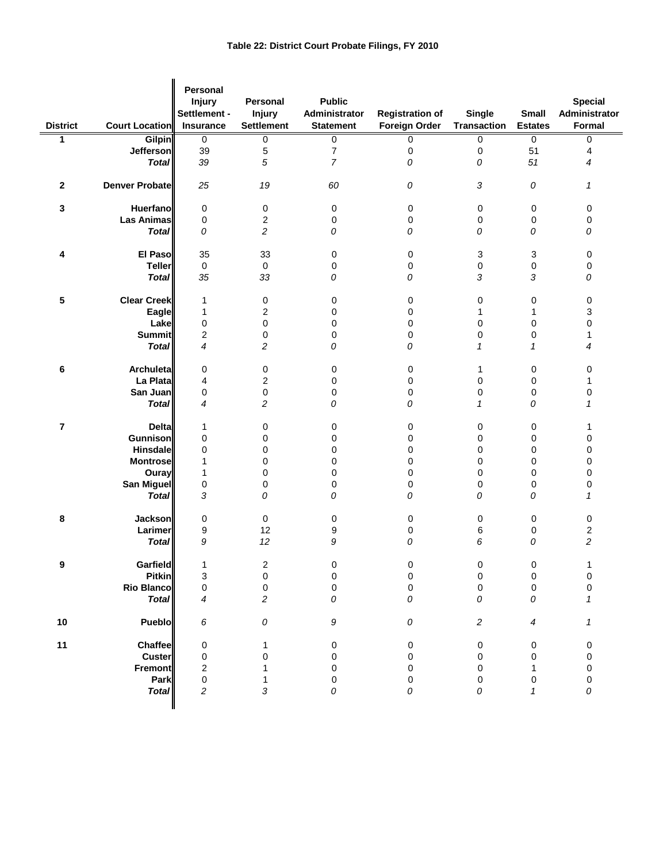| <b>District</b> | Court Location        | <b>Personal</b><br><b>Injury</b><br>Settlement -<br>Insurance | Personal<br><b>Injury</b><br><b>Settlement</b> | <b>Public</b><br>Administrator<br><b>Statement</b> | <b>Registration of</b><br><b>Foreign Order</b> | <b>Single</b><br><b>Transaction</b> | Small<br><b>Estates</b> | <b>Special</b><br>Administrator<br>Formal |
|-----------------|-----------------------|---------------------------------------------------------------|------------------------------------------------|----------------------------------------------------|------------------------------------------------|-------------------------------------|-------------------------|-------------------------------------------|
| 1               | <b>Gilpin</b>         | 0                                                             | $\pmb{0}$                                      | $\overline{0}$                                     | $\mathbf 0$                                    | 0                                   | $\overline{0}$          | 0                                         |
|                 | Jefferson             | 39                                                            | 5                                              | $\boldsymbol{7}$                                   | 0                                              | 0                                   | 51                      | 4                                         |
|                 | <b>Total</b>          | 39                                                            | 5                                              | $\overline{7}$                                     | 0                                              | 0                                   | 51                      | 4                                         |
| $\mathbf 2$     | <b>Denver Probate</b> | 25                                                            | 19                                             | 60                                                 | 0                                              | 3                                   | 0                       | 1                                         |
| 3               | <b>Huerfano</b>       | 0                                                             | 0                                              | $\mathbf 0$                                        | 0                                              | 0                                   | 0                       | 0                                         |
|                 | <b>Las Animas</b>     | 0                                                             | $\boldsymbol{2}$                               | 0                                                  | 0                                              | 0                                   | $\mathbf 0$             | $\pmb{0}$                                 |
|                 | <b>Total</b>          | 0                                                             | $\overline{c}$                                 | 0                                                  | 0                                              | 0                                   | 0                       | 0                                         |
| 4               | El Paso               | 35                                                            | 33                                             | $\mathbf 0$                                        | 0                                              | 3                                   | 3                       | 0                                         |
|                 | <b>Teller</b>         | $\mathbf 0$                                                   | $\mathbf 0$                                    | 0                                                  | 0                                              | 0                                   | 0                       | 0                                         |
|                 | <b>Total</b>          | 35                                                            | 33                                             | 0                                                  | 0                                              | 3                                   | 3                       | 0                                         |
|                 |                       |                                                               |                                                |                                                    |                                                |                                     |                         |                                           |
| 5               | <b>Clear Creek</b>    | 1                                                             | 0                                              | 0                                                  | 0                                              | 0                                   | $\pmb{0}$               | 0                                         |
|                 | Eagle                 | 1                                                             | 2                                              | 0                                                  | 0                                              | 1                                   | 1                       | 3                                         |
|                 | Lake                  | $\pmb{0}$                                                     | $\pmb{0}$                                      | 0                                                  | 0                                              | 0                                   | $\pmb{0}$               | $\pmb{0}$                                 |
|                 | <b>Summit</b>         | $\overline{\mathbf{c}}$                                       | $\pmb{0}$                                      | 0                                                  | $\pmb{0}$                                      | 0                                   | 0                       | 1                                         |
|                 | <b>Total</b>          | 4                                                             | 2                                              | 0                                                  | 0                                              | 1                                   | 1                       | 4                                         |
| 6               | Archuleta             | 0                                                             | 0                                              | 0                                                  | 0                                              | 1                                   | 0                       | 0                                         |
|                 | La Plata              | 4                                                             | $\boldsymbol{2}$                               | 0                                                  | 0                                              | 0                                   | $\pmb{0}$               | 1                                         |
|                 | San Juan              | 0                                                             | 0                                              | 0                                                  | $\pmb{0}$                                      | 0                                   | $\pmb{0}$               | $\pmb{0}$                                 |
|                 | <b>Total</b>          | 4                                                             | $\overline{c}$                                 | 0                                                  | 0                                              | 1                                   | 0                       | 1                                         |
| 7               | <b>Delta</b>          | 1                                                             | 0                                              | 0                                                  | 0                                              | 0                                   | 0                       | 1                                         |
|                 | <b>Gunnison</b>       | 0                                                             | 0                                              | 0                                                  | 0                                              | 0                                   | $\pmb{0}$               | $\mathbf 0$                               |
|                 | <b>Hinsdale</b>       | 0                                                             | 0                                              | 0                                                  | $\mathbf 0$                                    | 0                                   | $\pmb{0}$               | $\pmb{0}$                                 |
|                 | <b>Montrose</b>       | 1                                                             | 0                                              | 0                                                  | 0                                              | 0                                   | $\mathbf 0$             | $\mathbf 0$                               |
|                 | Ouray                 | 1                                                             | 0                                              | 0                                                  | $\mathbf 0$                                    | 0                                   | $\pmb{0}$               | $\pmb{0}$                                 |
|                 | <b>San Miguel</b>     | $\pmb{0}$                                                     | 0                                              | 0                                                  | $\pmb{0}$                                      | 0                                   | 0                       | $\pmb{0}$                                 |
|                 | <b>Total</b>          | 3                                                             | 0                                              | 0                                                  | 0                                              | 0                                   | 0                       | 1                                         |
| 8               | <b>Jackson</b>        | 0                                                             | 0                                              | 0                                                  | 0                                              | 0                                   | 0                       | 0                                         |
|                 | Larimer               | 9                                                             | 12                                             | 9                                                  | 0                                              | 6                                   | 0                       | $\overline{\mathbf{c}}$                   |
|                 | <b>Total</b>          | 9                                                             | 12                                             | 9                                                  | 0                                              | 6                                   | 0                       | $\overline{\mathbf{c}}$                   |
| ¥               | Garfield              | 1                                                             | $\boldsymbol{2}$                               | 0                                                  | 0                                              | 0                                   | 0                       |                                           |
|                 | <b>Pitkin</b>         | 3                                                             | $\pmb{0}$                                      | 0                                                  | $\pmb{0}$                                      | 0                                   | 0                       | $\mathbf 0$                               |
|                 | <b>Rio Blanco</b>     | 0                                                             | $\pmb{0}$                                      | $\mathsf 0$                                        | $\pmb{0}$                                      | 0                                   | $\pmb{0}$               | $\mathbf 0$                               |
|                 | <b>Total</b>          | 4                                                             | $\overline{c}$                                 | 0                                                  | 0                                              | 0                                   | $\overline{O}$          | 1                                         |
| $10$            | Pueblo                | 6                                                             | 0                                              | 9                                                  | 0                                              | 2                                   | 4                       | 1                                         |
| 11              | Chaffee               | 0                                                             | 1                                              | 0                                                  | 0                                              | 0                                   | 0                       | 0                                         |
|                 | Custer                | 0                                                             | $\mathbf 0$                                    | 0                                                  | 0                                              | 0                                   | 0                       | $\pmb{0}$                                 |
|                 | <b>Fremont</b>        | $\overline{\mathbf{c}}$                                       | 1                                              | 0                                                  | 0                                              | 0                                   | 1                       | $\pmb{0}$                                 |
|                 | Park                  | 0                                                             | 1                                              | 0                                                  | 0                                              | 0                                   | 0                       | $\pmb{0}$                                 |
|                 | <b>Total</b>          | $\overline{c}$                                                | 3                                              | 0                                                  | 0                                              | 0                                   | 1                       | 0                                         |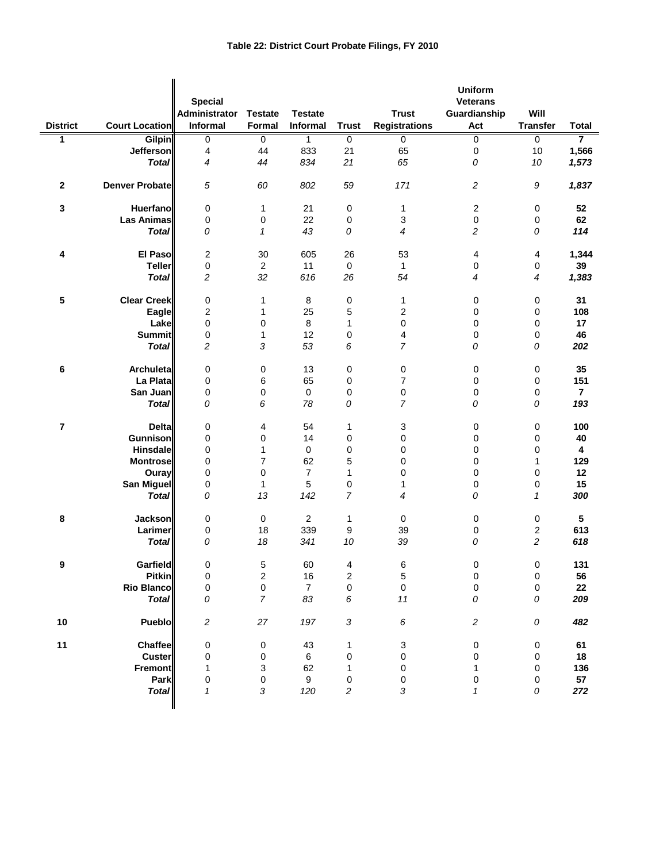| <b>District</b> | <b>Court Location</b> | <b>Special</b><br>Administrator<br>Informal | <b>Testate</b><br>Formal | <b>Testate</b><br>Informal | <b>Trust</b>            | <b>Trust</b><br><b>Registrations</b> | <b>Uniform</b><br><b>Veterans</b><br>Guardianship<br>Act | Will<br><b>Transfer</b> | <b>Total</b>            |
|-----------------|-----------------------|---------------------------------------------|--------------------------|----------------------------|-------------------------|--------------------------------------|----------------------------------------------------------|-------------------------|-------------------------|
| 1               | Gilpin                | $\overline{0}$                              | 0                        | 1                          | $\mathbf 0$             | $\mathbf 0$                          | $\overline{0}$                                           | $\mathbf 0$             | 7                       |
|                 | Jefferson             | $\overline{\mathbf{4}}$                     | 44                       | 833                        | 21                      | 65                                   | $\pmb{0}$                                                | 10                      | 1,566                   |
|                 | <b>Total</b>          | $\overline{4}$                              | 44                       | 834                        | 21                      | 65                                   | 0                                                        | 10                      | 1,573                   |
|                 |                       |                                             |                          |                            |                         |                                      |                                                          |                         |                         |
| $\mathbf{2}$    | <b>Denver Probate</b> | 5                                           | 60                       | 802                        | 59                      | 171                                  | 2                                                        | 9                       | 1,837                   |
| 3               | <b>Huerfano</b>       | 0                                           | 1                        | 21                         | 0                       | $\mathbf{1}$                         | $\sqrt{2}$                                               | $\boldsymbol{0}$        | 52                      |
|                 | <b>Las Animas</b>     | 0                                           | 0                        | 22                         | 0                       | 3                                    | $\pmb{0}$                                                | 0                       | 62                      |
|                 | <b>Total</b>          | 0                                           | 1                        | 43                         | 0                       | 4                                    | $\overline{c}$                                           | 0                       | 114                     |
|                 |                       |                                             |                          |                            |                         |                                      |                                                          |                         |                         |
| 4               | El Paso               | $\boldsymbol{2}$                            | 30                       | 605                        | 26                      | 53                                   | 4                                                        | 4                       | 1,344                   |
|                 | <b>Teller</b>         | 0                                           | $\sqrt{2}$               | 11                         | $\mathbf 0$             | 1                                    | $\pmb{0}$                                                | 0                       | 39                      |
|                 | <b>Total</b>          | $\overline{c}$                              | 32                       | 616                        | 26                      | 54                                   | $\overline{4}$                                           | 4                       | 1,383                   |
|                 |                       |                                             |                          |                            |                         |                                      |                                                          |                         |                         |
| 5               | <b>Clear Creek</b>    | 0                                           | 1                        | $\bf 8$                    | 0                       | $\mathbf{1}$                         | 0                                                        | 0                       | 31                      |
|                 | Eagle                 | $\overline{\mathbf{c}}$                     | 1                        | 25                         | 5                       | 2                                    | $\mathbf 0$                                              | 0                       | 108                     |
|                 | Lake                  | 0                                           | 0                        | 8                          | 1                       | $\mathbf 0$                          | $\mathbf 0$                                              | 0                       | 17                      |
|                 | <b>Summit</b>         | 0                                           | 1                        | 12                         | 0                       | 4                                    | $\pmb{0}$                                                | 0                       | 46                      |
|                 | <b>Total</b>          | $\overline{c}$                              | 3                        | 53                         | 6                       | $\overline{7}$                       | 0                                                        | 0                       | 202                     |
| 6               | Archuleta             | 0                                           | 0                        | 13                         | 0                       | 0                                    | 0                                                        | 0                       | 35                      |
|                 | La Plata              | 0                                           | 6                        | 65                         | $\mathbf 0$             | $\overline{7}$                       | $\pmb{0}$                                                | $\pmb{0}$               | 151                     |
|                 | San Juan              | 0                                           | 0                        | $\mathsf{O}\xspace$        | 0                       | 0                                    | $\pmb{0}$                                                | 0                       | $\overline{\mathbf{r}}$ |
|                 | <b>Total</b>          | 0                                           | 6                        | 78                         | 0                       | $\overline{7}$                       | 0                                                        | 0                       | 193                     |
|                 |                       |                                             |                          |                            |                         |                                      |                                                          |                         |                         |
| 7               | <b>Delta</b>          | 0                                           | 4                        | 54                         | 1                       | 3                                    | $\mathbf 0$                                              | $\pmb{0}$               | 100                     |
|                 | Gunnison              | 0                                           | 0                        | 14                         | 0                       | 0                                    | $\mathbf 0$                                              | 0                       | 40                      |
|                 | Hinsdale              | 0                                           | 1                        | $\boldsymbol{0}$           | 0                       | 0                                    | 0                                                        | 0                       | $\boldsymbol{4}$        |
|                 | <b>Montrose</b>       | 0                                           | 7                        | 62                         | 5                       | 0                                    | 0                                                        | 1                       | 129                     |
|                 | Ouray                 | 0                                           | 0                        | $\overline{7}$             | 1                       | 0                                    | $\mathbf 0$                                              | 0                       | 12                      |
|                 | <b>San Miguel</b>     | 0                                           | $\mathbf{1}$             | 5                          | 0                       | 1                                    | $\pmb{0}$                                                | 0                       | 15                      |
|                 | <b>Total</b>          | 0                                           | 13                       | 142                        | $\overline{7}$          | 4                                    | 0                                                        | $\mathcal I$            | 300                     |
|                 |                       |                                             |                          |                            |                         |                                      |                                                          |                         |                         |
| 8               | <b>Jackson</b>        | 0                                           | 0                        | $\overline{c}$             | 1                       | 0                                    | 0                                                        | 0                       | 5                       |
|                 | Larimer               | 0                                           | 18                       | 339                        | 9                       | 39                                   | 0                                                        | 2                       | 613                     |
|                 | <b>Total</b>          | 0                                           | 18                       | 341                        | 10                      | 39                                   | 0                                                        | $\overline{c}$          | 618                     |
| 9               | <b>Garfield</b>       | 0                                           | 5                        | 60                         | 4                       | 6                                    | $\mathbf 0$                                              | $\pmb{0}$               | 131                     |
|                 | <b>Pitkin</b>         | 0                                           | 2                        | $16\,$                     | 2                       | 5                                    | $\pmb{0}$                                                | $\pmb{0}$               | 56                      |
|                 | <b>Rio Blanco</b>     | $\pmb{0}$                                   | 0                        | $\overline{7}$             | 0                       | $\mathbf 0$                          | $\mathsf 0$                                              | 0                       | 22                      |
|                 | <b>Total</b>          | 0                                           | $\overline{7}$           | 83                         | 6                       | 11                                   | 0                                                        | 0                       | 209                     |
|                 |                       |                                             |                          |                            |                         |                                      |                                                          |                         |                         |
| 10              | Pueblo                | $\boldsymbol{2}$                            | $27\,$                   | 197                        | $\sqrt{3}$              | $\boldsymbol{6}$                     | $\overline{c}$                                           | ${\cal O}$              | 482                     |
| 11              | <b>Chaffee</b>        | 0                                           | 0                        | 43                         | 1                       | 3                                    | $\pmb{0}$                                                | $\pmb{0}$               | 61                      |
|                 | Custer                | 0                                           | 0                        | 6                          | 0                       | $\mathbf 0$                          | $\mathbf 0$                                              | $\boldsymbol{0}$        | 18                      |
|                 | <b>Fremont</b>        | 1                                           | 3                        | 62                         | 1                       | $\pmb{0}$                            | 1                                                        | $\pmb{0}$               | 136                     |
|                 | Park                  | $\pmb{0}$                                   | 0                        | $\boldsymbol{9}$           | 0                       | $\,0\,$                              | $\,0\,$                                                  | 0                       | 57                      |
|                 | <b>Total</b>          | $\mathbf{1}$                                | 3                        | 120                        | $\overline{\mathbf{c}}$ | 3                                    | 1                                                        | 0                       | 272                     |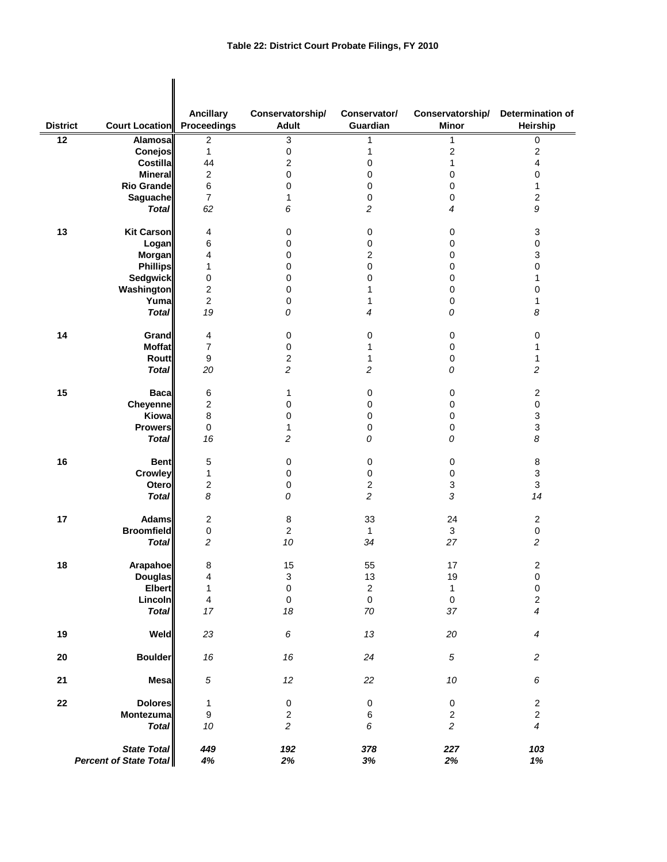|                 |                                       | <b>Ancillary</b>        | Conservatorship/          | Conservator/     | Conservatorship/          | Determination of          |
|-----------------|---------------------------------------|-------------------------|---------------------------|------------------|---------------------------|---------------------------|
| <b>District</b> | <b>Court Location</b> Proceedings     |                         | <b>Adult</b>              | Guardian         | <b>Minor</b>              | Heirship                  |
| $\overline{12}$ | Alamosal                              | $\boldsymbol{2}$        | 3                         | 1                | 1                         | 0                         |
|                 | <b>Conejos</b>                        | 1                       | 0                         | 1                | $\mathbf 2$               | $\overline{\mathbf{c}}$   |
|                 | <b>Costillal</b>                      | 44                      | 2                         | $\Omega$         | $\mathbf{1}$              | 4                         |
|                 | <b>Mineral</b>                        | $\boldsymbol{2}$        | 0                         | 0                | 0                         | 0                         |
|                 | Rio Grande                            | 6                       | 0                         | 0                | 0                         | 1                         |
|                 | Saguache                              | $\overline{7}$          | 1                         | 0                | 0                         | 2                         |
|                 | <b>Total</b>                          | 62                      | 6                         | 2                | 4                         | 9                         |
| 13              | Kit Carson                            | 4                       | 0                         | 0                | 0                         | 3                         |
|                 | Logan                                 | 6                       | 0                         | 0                | 0                         | $\pmb{0}$                 |
|                 |                                       | 4                       | 0                         |                  |                           | 3                         |
|                 | <b>Morgan</b>                         |                         |                           | 2                | 0                         |                           |
|                 | <b>Phillips</b>                       | 1                       | 0                         | 0                | $\mathbf 0$               | 0                         |
|                 | <b>Sedgwick</b>                       | 0                       | 0                         | 0                | 0                         | 1                         |
|                 | Washington                            | $\mathbf 2$             | 0                         | 1                | 0                         | 0                         |
|                 | Yuma                                  | $\overline{2}$          | 0                         | 1                | 0                         | 1                         |
|                 | <b>Total</b>                          | 19                      | 0                         | 4                | 0                         | 8                         |
| 14              | <b>Grand</b>                          | 4                       | $\mathbf 0$               | 0                | $\pmb{0}$                 | 0                         |
|                 | <b>Moffat</b>                         | $\overline{7}$          | 0                         | 1                | $\pmb{0}$                 | 1                         |
|                 | <b>Routt</b>                          | 9                       | 2                         | 1                | $\pmb{0}$                 | 1                         |
|                 | <b>Total</b>                          | 20                      | $\overline{c}$            | $\overline{c}$   | 0                         | $\overline{\mathbf{c}}$   |
| 15              | <b>Baca</b>                           | 6                       | 1                         | 0                | $\pmb{0}$                 | $\sqrt{2}$                |
|                 | <b>Cheyenne</b>                       | $\boldsymbol{2}$        | 0                         | 0                | $\pmb{0}$                 | $\pmb{0}$                 |
|                 | Kiowa                                 | 8                       | 0                         | 0                | $\pmb{0}$                 | $\ensuremath{\mathsf{3}}$ |
|                 |                                       |                         |                           |                  |                           |                           |
|                 | <b>Prowers</b>                        | 0                       | 1                         | 0                | 0                         | 3                         |
|                 | <b>Total</b>                          | 16                      | $\overline{\mathbf{c}}$   | 0                | 0                         | 8                         |
| 16              | <b>Bent</b>                           | 5                       | 0                         | $\pmb{0}$        | $\pmb{0}$                 | 8                         |
|                 | <b>Crowley</b>                        | 1                       | 0                         | 0                | $\pmb{0}$                 | 3                         |
|                 | Otero                                 | $\boldsymbol{2}$        | 0                         | $\boldsymbol{2}$ | $\ensuremath{\mathsf{3}}$ | $\mathsf 3$               |
|                 |                                       |                         |                           |                  |                           |                           |
|                 | <b>Total</b>                          | 8                       | 0                         | $\overline{c}$   | 3                         | 14                        |
| 17              | <b>Adams</b>                          | $\boldsymbol{2}$        | $\,8\,$                   | 33               | 24                        | $\boldsymbol{2}$          |
|                 | <b>Broomfield</b>                     | 0                       | $\overline{\mathbf{c}}$   | 1                | 3                         | $\pmb{0}$                 |
|                 | <b>Total</b>                          | $\overline{c}$          | 10                        | 34               | 27                        | 2                         |
|                 |                                       |                         |                           |                  |                           |                           |
| 18              | <b>Arapahoe</b>                       | 8                       | 15                        | 55               | $17$                      | $\boldsymbol{2}$          |
|                 | <b>Douglas</b>                        | 4                       | $\ensuremath{\mathsf{3}}$ | $13$             | 19                        | $\boldsymbol{0}$          |
|                 | Elbert                                | 1                       | $\pmb{0}$                 | $\sqrt{2}$       | $\mathbf{1}$              | $\pmb{0}$                 |
|                 | Lincoln                               | $\overline{\mathbf{4}}$ | $\pmb{0}$                 | $\pmb{0}$        | $\mathbf 0$               | $\sqrt{2}$                |
|                 | <b>Total</b>                          | $17\,$                  | 18                        | $70\,$           | $37\,$                    | $\boldsymbol{4}$          |
| 19              | Weld                                  | 23                      | $\boldsymbol{6}$          | $13\,$           | 20                        | $\boldsymbol{4}$          |
|                 |                                       |                         |                           |                  |                           |                           |
| ${\bf 20}$      | <b>Boulder</b>                        | $16\,$                  | 16                        | 24               | $\sqrt{5}$                | $\overline{c}$            |
| 21              | <b>Mesa</b>                           | $\sqrt{5}$              | $12\,$                    | 22               | $10\,$                    | 6                         |
| ${\bf 22}$      | <b>Dolores</b>                        | 1                       | $\pmb{0}$                 | $\pmb{0}$        | $\pmb{0}$                 | $\overline{\mathbf{c}}$   |
|                 | Montezuma                             | 9                       | $\overline{\mathbf{c}}$   | 6                | $\sqrt{2}$                | $\mathbf 2$               |
|                 | <b>Total</b>                          | 10                      | $\overline{c}$            | 6                | $\overline{c}$            | $\overline{\mathcal{A}}$  |
|                 | State Total<br>Percent of State Total | 449<br>$4\%$            | 192<br>$2\%$              | 378<br>$3%$      | 227<br>$2\%$              | 103<br>$1\%$              |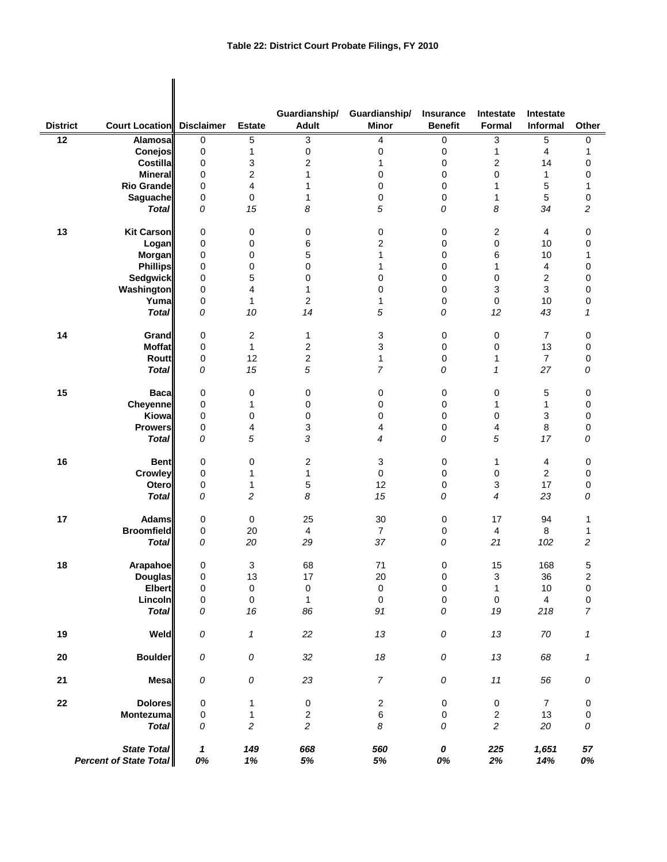$\mathbf{I}$ 

| <b>District</b> | <b>Court Location Disclaimer</b>                    |                    | <b>Estate</b>           | Guardianship/<br><b>Adult</b> | Guardianship/<br><b>Minor</b> | <b>Insurance</b><br><b>Benefit</b> | Intestate<br><b>Formal</b> | Intestate<br>Informal   | Other                   |
|-----------------|-----------------------------------------------------|--------------------|-------------------------|-------------------------------|-------------------------------|------------------------------------|----------------------------|-------------------------|-------------------------|
|                 |                                                     |                    |                         |                               |                               |                                    |                            |                         |                         |
| $\overline{12}$ | <b>Alamosa</b>                                      | $\mathbf 0$        | 5                       | 3                             | 4                             | 0                                  | 3                          | 5                       | 0                       |
|                 | <b>Conejos</b>                                      | 0                  | 1                       | 0                             | 0                             | 0                                  | 1                          | 4                       | 1                       |
|                 | <b>Costilla</b>                                     | 0                  | 3                       | 2                             | 1                             | 0                                  | 2                          | 14                      | 0                       |
|                 | <b>Mineral</b>                                      | 0                  | $\overline{\mathbf{c}}$ | 1                             | 0                             | 0                                  | 0                          | 1                       | 0                       |
|                 | <b>Rio Grande</b>                                   | 0                  | 4                       | 1                             | 0                             | 0                                  | 1                          | 5                       | 1                       |
|                 | Saguache                                            | 0                  | 0                       | 1                             | 0                             | 0                                  | 1                          | 5                       | 0                       |
|                 | <b>Total</b>                                        | 0                  | 15                      | 8                             | 5                             | 0                                  | 8                          | 34                      | $\overline{\mathbf{c}}$ |
| 13              | <b>Kit Carson</b>                                   | 0                  | 0                       | 0                             | 0                             | 0                                  | 2                          | 4                       | 0                       |
|                 | Logan                                               | 0                  | 0                       | 6                             | $\overline{c}$                | 0                                  | 0                          | 10                      | 0                       |
|                 | Morgan                                              | 0                  | 0                       | 5                             | 1                             | $\mathbf 0$                        | 6                          | 10                      | 1                       |
|                 | <b>Phillips</b>                                     | 0                  | 0                       | 0                             | 1                             | 0                                  | 1                          | 4                       | 0                       |
|                 | <b>Sedgwick</b>                                     | 0                  | 5                       | 0                             | 0                             | 0                                  | 0                          | $\overline{\mathbf{c}}$ | 0                       |
|                 | Washington                                          | 0                  | 4                       | 1                             | 0                             | 0                                  | 3                          | 3                       | 0                       |
|                 | Yuma                                                | $\mathbf 0$        | 1                       | $\overline{c}$                | 1                             | $\mathbf 0$                        | 0                          | 10                      | 0                       |
|                 | <b>Total</b>                                        | 0                  | 10                      | 14                            | 5                             | 0                                  | 12                         | 43                      | 1                       |
|                 |                                                     |                    |                         |                               |                               |                                    |                            |                         |                         |
| 14              | <b>Grand</b>                                        | 0                  | 2                       | 1                             | 3                             | 0                                  | 0                          | $\overline{7}$          | 0                       |
|                 | <b>Moffat</b>                                       | 0                  | $\mathbf{1}$            | $\boldsymbol{2}$              | 3                             | 0                                  | $\mathbf 0$                | 13                      | 0                       |
|                 | <b>Routt</b>                                        | 0                  | 12                      | $\overline{c}$                | $\mathbf 1$                   | 0                                  | 1                          | $\overline{7}$          | 0                       |
|                 | <b>Total</b>                                        | 0                  | 15                      | 5                             | $\overline{7}$                | 0                                  | $\mathbf{1}$               | 27                      | 0                       |
| 15              | <b>Baca</b>                                         | 0                  | 0                       | 0                             | 0                             | 0                                  | 0                          | 5                       | 0                       |
|                 | <b>Cheyenne</b>                                     | 0                  | 1                       | 0                             | 0                             | 0                                  | 1                          | 1                       | 0                       |
|                 | Kiowa                                               | 0                  | 0                       | 0                             | 0                             | 0                                  | 0                          | 3                       | 0                       |
|                 | <b>Prowers</b>                                      | 0                  | 4                       | 3                             | 4                             | 0                                  | 4                          | 8                       | 0                       |
|                 | <b>Total</b>                                        | 0                  | 5                       | 3                             | 4                             | 0                                  | 5                          | 17                      | 0                       |
| 16              | <b>Bent</b>                                         | 0                  | 0                       | 2                             | 3                             | 0                                  | 1                          | 4                       | 0                       |
|                 | Crowley                                             | 0                  | 1                       | 1                             | 0                             | 0                                  | $\pmb{0}$                  | $\overline{2}$          | 0                       |
|                 | Otero                                               | 0                  | 1                       | 5                             | 12                            | 0                                  | 3                          | 17                      | 0                       |
|                 | <b>Total</b>                                        | 0                  | 2                       | 8                             | 15                            | 0                                  | 4                          | 23                      | 0                       |
| 17              | <b>Adams</b>                                        | 0                  | $\pmb{0}$               | 25                            | 30                            | 0                                  | 17                         | 94                      | 1                       |
|                 | <b>Broomfield</b>                                   | 0                  | 20                      | $\overline{4}$                | $\overline{7}$                | 0                                  | 4                          | 8                       | 1                       |
|                 | <b>Total</b>                                        | 0                  | 20                      | 29                            | 37                            | 0                                  | 21                         | 102                     | $\overline{\mathbf{c}}$ |
|                 |                                                     |                    |                         |                               |                               |                                    |                            |                         |                         |
| 18              | Arapahoe                                            | $\pmb{0}$          | 3                       | 68                            | 71                            | 0                                  | 15                         | 168                     | 5                       |
|                 | <b>Douglas</b>                                      | 0                  | 13                      | 17                            | 20                            | $\mathbf 0$                        | 3                          | $36\,$                  | 2                       |
|                 | <b>Elbert</b>                                       | 0                  | $\pmb{0}$               | $\pmb{0}$                     | $\pmb{0}$                     | $\pmb{0}$                          | $\mathbf{1}$               | $10$                    | $\pmb{0}$               |
|                 | Lincoln                                             | 0                  | $\pmb{0}$               | $\mathbf{1}$                  | $\pmb{0}$                     | $\pmb{0}$                          | $\pmb{0}$                  | $\overline{4}$          | 0                       |
|                 | <b>Total</b>                                        | 0                  | 16                      | 86                            | 91                            | 0                                  | 19                         | 218                     | 7                       |
| 19              | Weld                                                | ${\cal O}$         | 1                       | 22                            | 13                            | ${\cal O}$                         | 13                         | 70                      | 1                       |
| 20              | <b>Boulder</b>                                      | ${\cal O}$         | ${\cal O}$              | 32                            | 18                            | ${\cal O}$                         | 13                         | 68                      | 1                       |
| 21              | <b>Mesa</b>                                         | 0                  | ${\cal O}$              | 23                            | $\overline{7}$                | ${\cal O}$                         | $11$                       | 56                      | 0                       |
| 22              | <b>Dolores</b>                                      | 0                  | 1                       | $\pmb{0}$                     | $\boldsymbol{2}$              | $\pmb{0}$                          | $\pmb{0}$                  | $\overline{7}$          | $\pmb{0}$               |
|                 | Montezuma                                           | 0                  | 1                       | $\overline{c}$                | $\,6\,$                       | 0                                  | $\boldsymbol{2}$           | 13                      | 0                       |
|                 | <b>Total</b>                                        | 0                  | $\overline{c}$          | $\overline{c}$                | 8                             | 0                                  | $\overline{\mathbf{c}}$    | 20                      | ${\cal O}$              |
|                 | <b>State Total</b><br><b>Percent of State Total</b> | $\mathbf{1}$<br>0% | 149<br>1%               | 668<br>$5\%$                  | 560<br>$5\%$                  | 0<br>0%                            | 225<br>2%                  | 1,651<br>14%            | 57<br>0%                |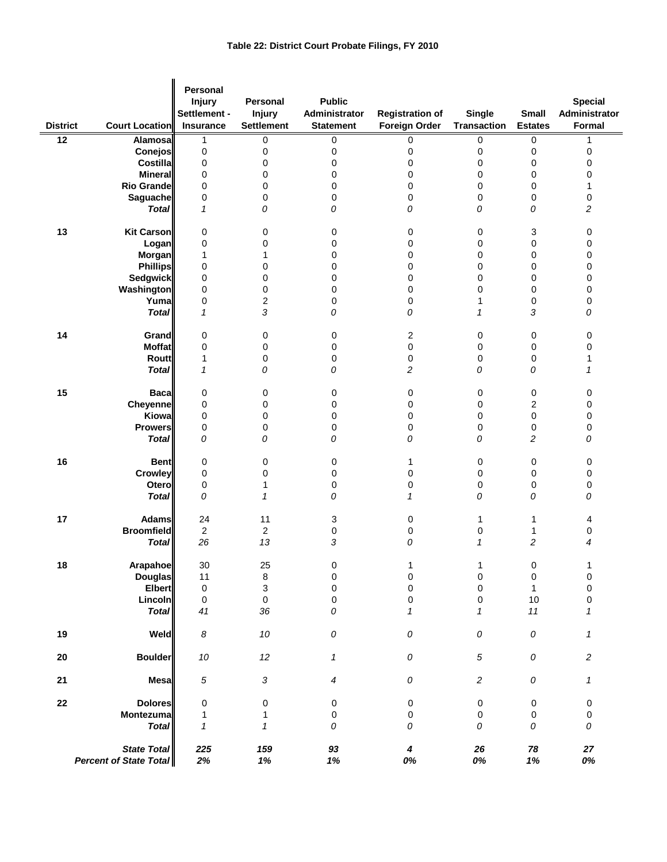| <b>District</b> | Court Location                                      | <b>Personal</b><br><b>Injury</b><br>Settlement -<br>Insurance | Personal<br><b>Injury</b><br><b>Settlement</b> | <b>Public</b><br>Administrator<br><b>Statement</b> | <b>Registration of</b><br><b>Foreign Order</b> | <b>Single</b><br><b>Transaction</b> | <b>Small</b><br><b>Estates</b> | <b>Special</b><br>Administrator<br>Formal |
|-----------------|-----------------------------------------------------|---------------------------------------------------------------|------------------------------------------------|----------------------------------------------------|------------------------------------------------|-------------------------------------|--------------------------------|-------------------------------------------|
| $\overline{12}$ |                                                     |                                                               |                                                |                                                    |                                                |                                     |                                |                                           |
|                 | Alamosa<br>Conejos                                  | 1                                                             | 0                                              | 0                                                  | 0                                              | 0                                   | 0                              | 1                                         |
|                 |                                                     | 0                                                             | 0                                              | $\pmb{0}$                                          | 0                                              | 0                                   | 0                              | $\pmb{0}$                                 |
|                 | Costilla                                            | 0                                                             | 0                                              | 0                                                  | 0                                              | 0                                   | 0                              | 0                                         |
|                 | <b>Mineral</b>                                      | 0                                                             | 0                                              | $\mathbf 0$                                        | 0                                              | 0                                   | 0                              | 0                                         |
|                 | <b>Rio Grande</b>                                   | 0                                                             | 0                                              | 0                                                  | 0                                              | 0                                   | 0                              | 1                                         |
|                 | Saguache                                            | 0                                                             | 0                                              | 0                                                  | 0                                              | 0                                   | 0                              | $\pmb{0}$                                 |
|                 | <b>Total</b>                                        | $\mathbf{1}$                                                  | 0                                              | 0                                                  | 0                                              | 0                                   | 0                              | $\overline{c}$                            |
| 13              | <b>Kit Carson</b>                                   | 0                                                             | 0                                              | 0                                                  | 0                                              | 0                                   | 3                              | 0                                         |
|                 | Logan                                               | 0                                                             | 0                                              | 0                                                  | 0                                              | 0                                   | $\mathbf 0$                    | 0                                         |
|                 | Morgan                                              | 1                                                             | 1                                              | 0                                                  | 0                                              | 0                                   | 0                              | 0                                         |
|                 | <b>Phillips</b>                                     | 0                                                             | 0                                              | 0                                                  | 0                                              | 0                                   | 0                              | 0                                         |
|                 | Sedgwick                                            | 0                                                             | 0                                              | 0                                                  | 0                                              | 0                                   | 0                              | 0                                         |
|                 | Washington                                          | 0                                                             | 0                                              | 0                                                  | 0                                              | 0                                   | $\mathbf 0$                    | 0                                         |
|                 | Yuma                                                | 0                                                             | 2                                              | 0                                                  | 0                                              | 1                                   | 0                              | 0                                         |
|                 | <b>Total</b>                                        | $\mathbf{1}$                                                  | 3                                              | 0                                                  | 0                                              | 1                                   | 3                              | 0                                         |
|                 |                                                     |                                                               |                                                |                                                    |                                                |                                     |                                |                                           |
| 14              | Grand                                               | 0                                                             | 0                                              | 0                                                  | 2                                              | 0                                   | 0                              | 0                                         |
|                 | <b>Moffat</b>                                       | 0                                                             | 0                                              | 0                                                  | 0                                              | 0                                   | 0                              | 0                                         |
|                 | Routt                                               | 1                                                             | 0                                              | 0                                                  | 0                                              | 0                                   | 0                              | 1                                         |
|                 | <b>Total</b>                                        | $\mathbf{1}$                                                  | 0                                              | 0                                                  | 2                                              | 0                                   | 0                              | $\mathbf{1}$                              |
| 15              | <b>Baca</b>                                         | 0                                                             | 0                                              | $\pmb{0}$                                          | 0                                              | 0                                   | 0                              | $\pmb{0}$                                 |
|                 | Cheyenne                                            | 0                                                             | 0                                              | 0                                                  | 0                                              | 0                                   | $\overline{c}$                 | 0                                         |
|                 | Kiowa                                               | 0                                                             | 0                                              | $\mathbf 0$                                        | 0                                              | 0                                   | 0                              | $\pmb{0}$                                 |
|                 | <b>Prowers</b>                                      | 0                                                             | 0                                              | 0                                                  | 0                                              | 0                                   | 0                              | $\pmb{0}$                                 |
|                 | <b>Total</b>                                        | 0                                                             | 0                                              | 0                                                  | 0                                              | 0                                   | $\overline{c}$                 | 0                                         |
|                 |                                                     |                                                               |                                                |                                                    |                                                |                                     |                                |                                           |
| 16              | <b>Bent</b>                                         | 0                                                             | 0                                              | 0                                                  | 1                                              | 0                                   | 0                              | 0                                         |
|                 | Crowley                                             | 0                                                             | 0                                              | $\pmb{0}$                                          | 0                                              | 0                                   | 0                              | $\pmb{0}$                                 |
|                 | Otero                                               | 0                                                             | 1                                              | 0                                                  | 0                                              | 0                                   | 0                              | $\pmb{0}$                                 |
|                 | <b>Total</b>                                        | 0                                                             | 1                                              | 0                                                  | $\mathcal I$                                   | 0                                   | 0                              | 0                                         |
| 17              | <b>Adams</b>                                        | 24                                                            | 11                                             | 3                                                  | 0                                              | 1                                   | 1                              | 4                                         |
|                 | <b>Broomfield</b>                                   | $\overline{2}$                                                | $\overline{\mathbf{c}}$                        | 0                                                  | 0                                              | 0                                   | 1                              | 0                                         |
|                 | <b>Total</b>                                        | 26                                                            | 13                                             | 3                                                  | 0                                              | 1                                   | $\overline{c}$                 | 4                                         |
|                 |                                                     | $30\,$                                                        | 25                                             |                                                    |                                                |                                     |                                |                                           |
| 18              | Arapahoe<br><b>Douglas</b>                          | 11                                                            | 8                                              | 0<br>$\mathbf 0$                                   | 1<br>0                                         | 1<br>0                              | 0<br>$\pmb{0}$                 | 0                                         |
|                 | <b>Elbert</b>                                       | $\mathbf 0$                                                   | 3                                              | $\pmb{0}$                                          | $\mathsf 0$                                    | $\pmb{0}$                           | $\mathbf{1}$                   | $\mathbf 0$                               |
|                 |                                                     |                                                               |                                                |                                                    |                                                |                                     |                                |                                           |
|                 | Lincoln<br><b>Total</b>                             | 0<br>41                                                       | $\mathbf 0$<br>36                              | $\pmb{0}$<br>0                                     | $\mathsf 0$<br>$\mathbf{1}$                    | $\pmb{0}$<br>1                      | 10<br>$11$                     | 0<br>$\mathbf{1}$                         |
| 19              | Weld                                                | 8                                                             | $10\,$                                         | 0                                                  | 0                                              | ${\cal O}$                          | 0                              | $\boldsymbol{\mathcal{I}}$                |
|                 |                                                     |                                                               |                                                |                                                    |                                                |                                     |                                |                                           |
| 20              | <b>Boulder</b>                                      | $10\,$                                                        | 12                                             | $\mathbf{1}$                                       | 0                                              | $\sqrt{5}$                          | 0                              | 2                                         |
| 21              | <b>Mesa</b>                                         | 5                                                             | $\sqrt{3}$                                     | 4                                                  | 0                                              | $\overline{c}$                      | 0                              | $\boldsymbol{\mathcal{I}}$                |
| 22              | <b>Dolores</b>                                      | 0                                                             | 0                                              | $\pmb{0}$                                          | 0                                              | $\pmb{0}$                           | 0                              | $\pmb{0}$                                 |
|                 | Montezuma                                           | 1                                                             | $\mathbf{1}$                                   | 0                                                  | 0                                              | $\pmb{0}$                           | 0                              | $\pmb{0}$                                 |
|                 | <b>Total</b>                                        | $\mathbf{1}$                                                  | 1                                              | 0                                                  | 0                                              | 0                                   | 0                              | 0                                         |
|                 | <b>State Total</b><br><b>Percent of State Total</b> | 225<br>2%                                                     | 159<br>1%                                      | 93<br>$1\%$                                        | 4<br>0%                                        | 26<br>0%                            | 78<br>1%                       | ${\bf 27}$<br>0%                          |